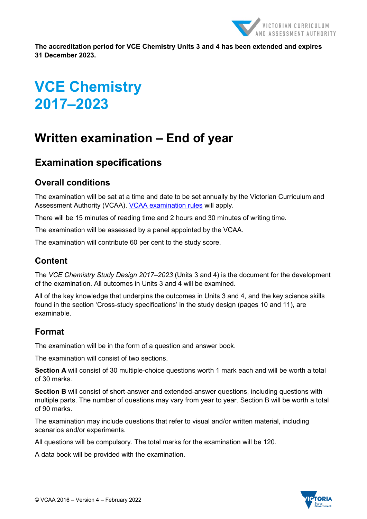

**The accreditation period for VCE Chemistry Units 3 and 4 has been extended and expires 31 December 2023.**

# **VCE Chemistry 2017–2023**

## **Written examination – End of year**

### **Examination specifications**

#### **Overall conditions**

The examination will be sat at a time and date to be set annually by the Victorian Curriculum and Assessment Authority (VCAA). [VCAA examination rules](https://www.vcaa.vic.edu.au/assessment/vce-assessment/Pages/ExaminationRules.aspx) will apply.

There will be 15 minutes of reading time and 2 hours and 30 minutes of writing time.

The examination will be assessed by a panel appointed by the VCAA.

The examination will contribute 60 per cent to the study score.

#### **Content**

The *VCE Chemistry Study Design 2017–2023* (Units 3 and 4) is the document for the development of the examination. All outcomes in Units 3 and 4 will be examined.

All of the key knowledge that underpins the outcomes in Units 3 and 4, and the key science skills found in the section 'Cross-study specifications' in the study design (pages 10 and 11), are examinable.

#### **Format**

The examination will be in the form of a question and answer book.

The examination will consist of two sections.

**Section A** will consist of 30 multiple-choice questions worth 1 mark each and will be worth a total of 30 marks.

**Section B** will consist of short-answer and extended-answer questions, including questions with multiple parts. The number of questions may vary from year to year. Section B will be worth a total of 90 marks.

The examination may include questions that refer to visual and/or written material, including scenarios and/or experiments.

All questions will be compulsory. The total marks for the examination will be 120.

A data book will be provided with the examination.